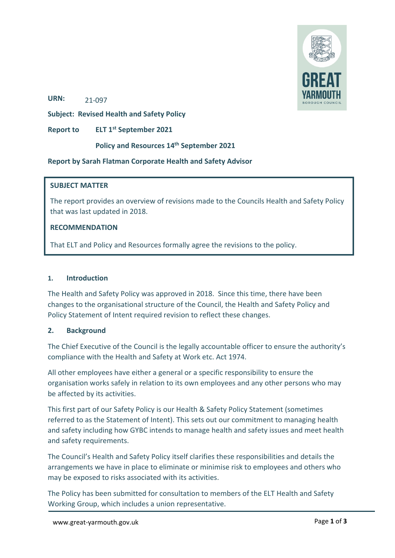

**URN:**  21-097

**Subject: Revised Health and Safety Policy** 

**Report to ELT 1st September 2021**

#### **Policy and Resources 14th September 2021**

#### **Report by Sarah Flatman Corporate Health and Safety Advisor**

#### **SUBJECT MATTER**

The report provides an overview of revisions made to the Councils Health and Safety Policy that was last updated in 2018.

#### **RECOMMENDATION**

That ELT and Policy and Resources formally agree the revisions to the policy.

#### **1. Introduction**

The Health and Safety Policy was approved in 2018. Since this time, there have been changes to the organisational structure of the Council, the Health and Safety Policy and Policy Statement of Intent required revision to reflect these changes.

#### **2. Background**

The Chief Executive of the Council is the legally accountable officer to ensure the authority's compliance with the Health and Safety at Work etc. Act 1974.

All other employees have either a general or a specific responsibility to ensure the organisation works safely in relation to its own employees and any other persons who may be affected by its activities.

This first part of our Safety Policy is our Health & Safety Policy Statement (sometimes referred to as the Statement of Intent). This sets out our commitment to managing health and safety including how GYBC intends to manage health and safety issues and meet health and safety requirements.

The Council's Health and Safety Policy itself clarifies these responsibilities and details the arrangements we have in place to eliminate or minimise risk to employees and others who may be exposed to risks associated with its activities.

The Policy has been submitted for consultation to members of the ELT Health and Safety Working Group, which includes a union representative.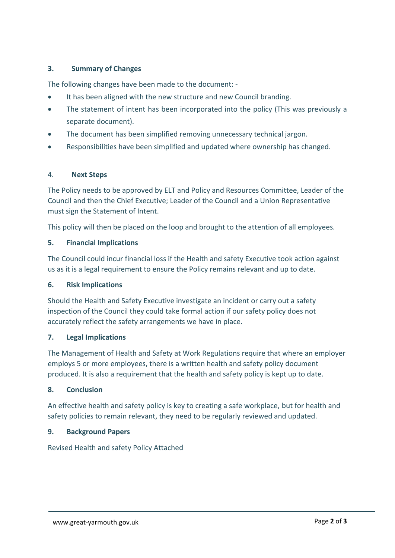## **3. Summary of Changes**

The following changes have been made to the document: ‐

- It has been aligned with the new structure and new Council branding.
- The statement of intent has been incorporated into the policy (This was previously a separate document).
- The document has been simplified removing unnecessary technical jargon.
- Responsibilities have been simplified and updated where ownership has changed.

#### 4. **Next Steps**

The Policy needs to be approved by ELT and Policy and Resources Committee, Leader of the Council and then the Chief Executive; Leader of the Council and a Union Representative must sign the Statement of Intent.

This policy will then be placed on the loop and brought to the attention of all employees.

#### **5. Financial Implications**

The Council could incur financial loss if the Health and safety Executive took action against us as it is a legal requirement to ensure the Policy remains relevant and up to date.

#### **6. Risk Implications**

Should the Health and Safety Executive investigate an incident or carry out a safety inspection of the Council they could take formal action if our safety policy does not accurately reflect the safety arrangements we have in place.

#### **7. Legal Implications**

The Management of Health and Safety at Work Regulations require that where an employer employs 5 or more employees, there is a written health and safety policy document produced. It is also a requirement that the health and safety policy is kept up to date.

## **8. Conclusion**

An effective health and safety policy is key to creating a safe workplace, but for health and safety policies to remain relevant, they need to be regularly reviewed and updated.

#### **9. Background Papers**

Revised Health and safety Policy Attached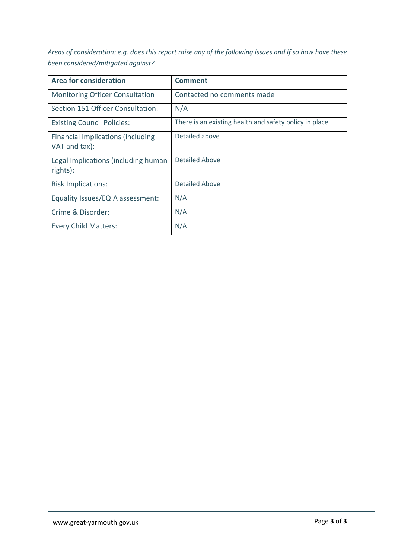Areas of consideration: e.g. does this report raise any of the following issues and if so how have these *been considered/mitigated against?* 

| <b>Area for consideration</b>                             | <b>Comment</b>                                         |
|-----------------------------------------------------------|--------------------------------------------------------|
| <b>Monitoring Officer Consultation</b>                    | Contacted no comments made                             |
| Section 151 Officer Consultation:                         | N/A                                                    |
| <b>Existing Council Policies:</b>                         | There is an existing health and safety policy in place |
| <b>Financial Implications (including</b><br>VAT and tax): | Detailed above                                         |
| Legal Implications (including human<br>rights):           | <b>Detailed Above</b>                                  |
| <b>Risk Implications:</b>                                 | <b>Detailed Above</b>                                  |
| Equality Issues/EQIA assessment:                          | N/A                                                    |
| Crime & Disorder:                                         | N/A                                                    |
| <b>Every Child Matters:</b>                               | N/A                                                    |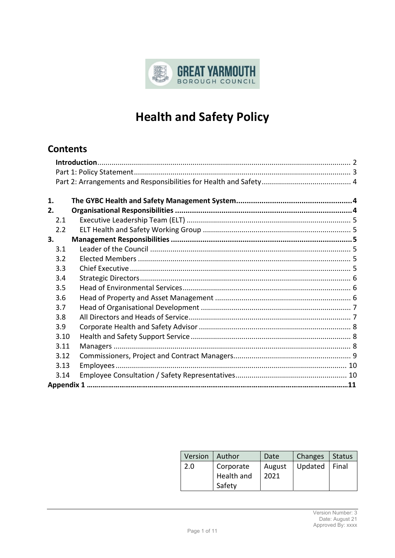

# **Health and Safety Policy**

# **Contents**

| 1.   |  |
|------|--|
| 2.   |  |
| 2.1  |  |
| 2.2  |  |
| 3.   |  |
| 3.1  |  |
| 3.2  |  |
| 3.3  |  |
| 3.4  |  |
| 3.5  |  |
| 3.6  |  |
| 3.7  |  |
| 3.8  |  |
| 3.9  |  |
| 3.10 |  |
| 3.11 |  |
| 3.12 |  |
| 3.13 |  |
| 3.14 |  |
|      |  |
|      |  |

| Version   Author |            | Date   | Changes | Status |
|------------------|------------|--------|---------|--------|
| 2.0              | Corporate  | August | Updated | Final  |
|                  | Health and | 2021   |         |        |
|                  | Safety     |        |         |        |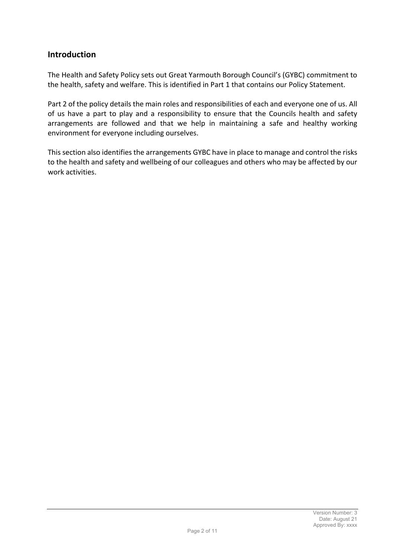## **Introduction**

The Health and Safety Policy sets out Great Yarmouth Borough Council's (GYBC) commitment to the health, safety and welfare. This is identified in Part 1 that contains our Policy Statement.

Part 2 of the policy details the main roles and responsibilities of each and everyone one of us. All of us have a part to play and a responsibility to ensure that the Councils health and safety arrangements are followed and that we help in maintaining a safe and healthy working environment for everyone including ourselves.

This section also identifies the arrangements GYBC have in place to manage and control the risks to the health and safety and wellbeing of our colleagues and others who may be affected by our work activities.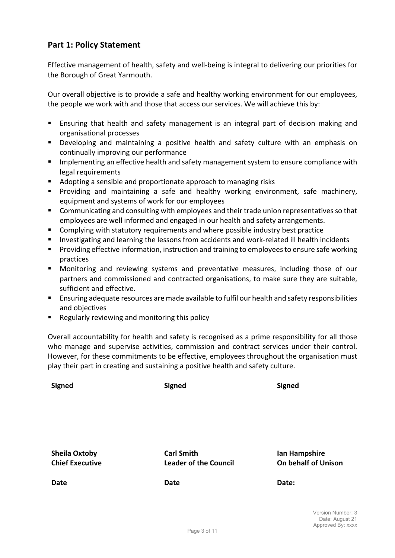# **Part 1: Policy Statement**

Effective management of health, safety and well‐being is integral to delivering our priorities for the Borough of Great Yarmouth.

Our overall objective is to provide a safe and healthy working environment for our employees, the people we work with and those that access our services. We will achieve this by:

- **Ensuring that health and safety management is an integral part of decision making and** organisational processes
- Developing and maintaining a positive health and safety culture with an emphasis on continually improving our performance
- **IMP** Implementing an effective health and safety management system to ensure compliance with legal requirements
- Adopting a sensible and proportionate approach to managing risks
- **Providing and maintaining a safe and healthy working environment, safe machinery,** equipment and systems of work for our employees
- **EXTER** Communicating and consulting with employees and their trade union representatives so that employees are well informed and engaged in our health and safety arrangements.
- Complying with statutory requirements and where possible industry best practice
- Investigating and learning the lessons from accidents and work-related ill health incidents
- **Providing effective information, instruction and training to employees to ensure safe working** practices
- Monitoring and reviewing systems and preventative measures, including those of our partners and commissioned and contracted organisations, to make sure they are suitable, sufficient and effective.
- Ensuring adequate resources are made available to fulfil our health and safety responsibilities and objectives
- Regularly reviewing and monitoring this policy

Overall accountability for health and safety is recognised as a prime responsibility for all those who manage and supervise activities, commission and contract services under their control. However, for these commitments to be effective, employees throughout the organisation must play their part in creating and sustaining a positive health and safety culture.

| <b>Signed</b>                                  | <b>Signed</b>                                     | <b>Signed</b>                               |  |
|------------------------------------------------|---------------------------------------------------|---------------------------------------------|--|
| <b>Sheila Oxtoby</b><br><b>Chief Executive</b> | <b>Carl Smith</b><br><b>Leader of the Council</b> | Ian Hampshire<br><b>On behalf of Unison</b> |  |
| Date                                           | Date                                              | Date:                                       |  |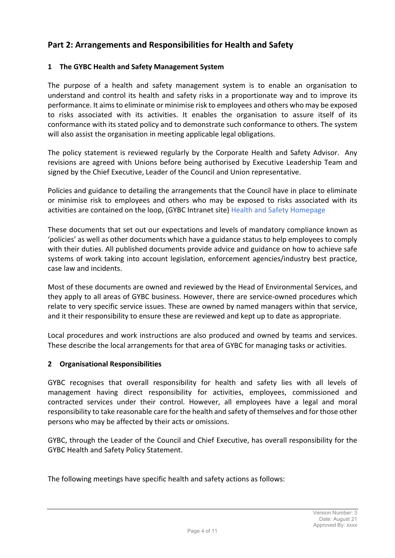# **Part 2: Arrangements and Responsibilities for Health and Safety**

## **1 The GYBC Health and Safety Management System**

The purpose of a health and safety management system is to enable an organisation to understand and control its health and safety risks in a proportionate way and to improve its performance. It aimsto eliminate or minimise risk to employees and others who may be exposed to risks associated with its activities. It enables the organisation to assure itself of its conformance with its stated policy and to demonstrate such conformance to others. The system will also assist the organisation in meeting applicable legal obligations.

The policy statement is reviewed regularly by the Corporate Health and Safety Advisor. Any revisions are agreed with Unions before being authorised by Executive Leadership Team and signed by the Chief Executive, Leader of the Council and Union representative.

Policies and guidance to detailing the arrangements that the Council have in place to eliminate or minimise risk to employees and others who may be exposed to risks associated with its activities are contained on the loop, (GYBC Intranet site) Health and Safety Homepage

These documents that set out our expectations and levels of mandatory compliance known as 'policies' as well as other documents which have a guidance status to help employees to comply with their duties. All published documents provide advice and guidance on how to achieve safe systems of work taking into account legislation, enforcement agencies/industry best practice, case law and incidents.

Most of these documents are owned and reviewed by the Head of Environmental Services, and they apply to all areas of GYBC business. However, there are service-owned procedures which relate to very specific service issues. These are owned by named managers within that service, and it their responsibility to ensure these are reviewed and kept up to date as appropriate.

Local procedures and work instructions are also produced and owned by teams and services. These describe the local arrangements for that area of GYBC for managing tasks or activities.

## **2 Organisational Responsibilities**

GYBC recognises that overall responsibility for health and safety lies with all levels of management having direct responsibility for activities, employees, commissioned and contracted services under their control. However, all employees have a legal and moral responsibility to take reasonable care for the health and safety of themselves and for those other persons who may be affected by their acts or omissions.

GYBC, through the Leader of the Council and Chief Executive, has overall responsibility for the GYBC Health and Safety Policy Statement.

The following meetings have specific health and safety actions as follows: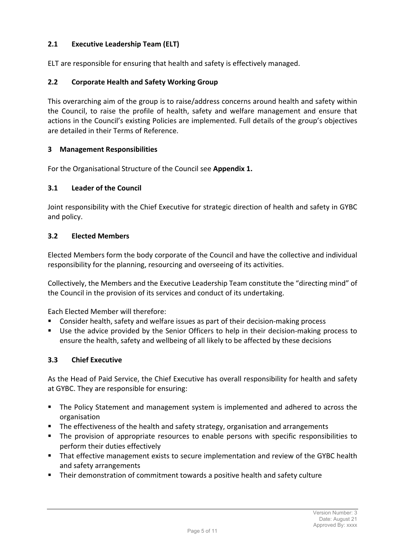## **2.1 Executive Leadership Team (ELT)**

ELT are responsible for ensuring that health and safety is effectively managed.

## **2.2 Corporate Health and Safety Working Group**

This overarching aim of the group is to raise/address concerns around health and safety within the Council, to raise the profile of health, safety and welfare management and ensure that actions in the Council's existing Policies are implemented. Full details of the group's objectives are detailed in their Terms of Reference.

## **3 Management Responsibilities**

For the Organisational Structure of the Council see **Appendix 1.**

#### **3.1 Leader of the Council**

Joint responsibility with the Chief Executive for strategic direction of health and safety in GYBC and policy.

#### **3.2 Elected Members**

Elected Members form the body corporate of the Council and have the collective and individual responsibility for the planning, resourcing and overseeing of its activities.

Collectively, the Members and the Executive Leadership Team constitute the "directing mind" of the Council in the provision of its services and conduct of its undertaking.

Each Elected Member will therefore:

- Consider health, safety and welfare issues as part of their decision-making process
- Use the advice provided by the Senior Officers to help in their decision-making process to ensure the health, safety and wellbeing of all likely to be affected by these decisions

#### **3.3 Chief Executive**

As the Head of Paid Service, the Chief Executive has overall responsibility for health and safety at GYBC. They are responsible for ensuring:

- The Policy Statement and management system is implemented and adhered to across the organisation
- **The effectiveness of the health and safety strategy, organisation and arrangements**
- The provision of appropriate resources to enable persons with specific responsibilities to perform their duties effectively
- That effective management exists to secure implementation and review of the GYBC health and safety arrangements
- Their demonstration of commitment towards a positive health and safety culture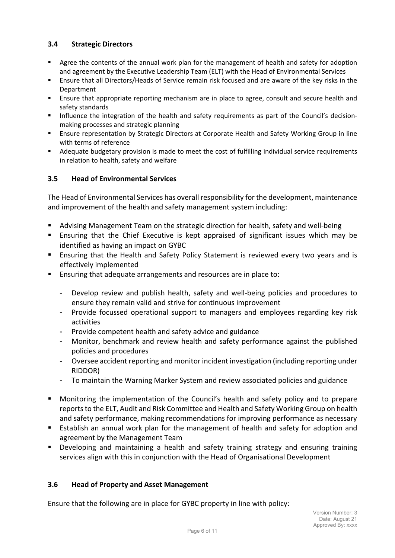## **3.4 Strategic Directors**

- **Agree the contents of the annual work plan for the management of health and safety for adoption** and agreement by the Executive Leadership Team (ELT) with the Head of Environmental Services
- Ensure that all Directors/Heads of Service remain risk focused and are aware of the key risks in the Department
- Ensure that appropriate reporting mechanism are in place to agree, consult and secure health and safety standards
- Influence the integration of the health and safety requirements as part of the Council's decisionmaking processes and strategic planning
- **Ensure representation by Strategic Directors at Corporate Health and Safety Working Group in line** with terms of reference
- Adequate budgetary provision is made to meet the cost of fulfilling individual service requirements in relation to health, safety and welfare

## **3.5 Head of Environmental Services**

The Head of Environmental Services has overall responsibility for the development, maintenance and improvement of the health and safety management system including:

- Advising Management Team on the strategic direction for health, safety and well-being
- Ensuring that the Chief Executive is kept appraised of significant issues which may be identified as having an impact on GYBC
- **Ensuring that the Health and Safety Policy Statement is reviewed every two years and is** effectively implemented
- Ensuring that adequate arrangements and resources are in place to:
	- Develop review and publish health, safety and well‐being policies and procedures to ensure they remain valid and strive for continuous improvement
	- Provide focussed operational support to managers and employees regarding key risk activities
	- Provide competent health and safety advice and guidance
	- Monitor, benchmark and review health and safety performance against the published policies and procedures
	- Oversee accident reporting and monitor incident investigation (including reporting under RIDDOR)
	- To maintain the Warning Marker System and review associated policies and guidance
- Monitoring the implementation of the Council's health and safety policy and to prepare reports to the ELT, Audit and Risk Committee and Health and Safety Working Group on health and safety performance, making recommendations for improving performance as necessary
- Establish an annual work plan for the management of health and safety for adoption and agreement by the Management Team
- Developing and maintaining a health and safety training strategy and ensuring training services align with this in conjunction with the Head of Organisational Development

## **3.6 Head of Property and Asset Management**

Ensure that the following are in place for GYBC property in line with policy: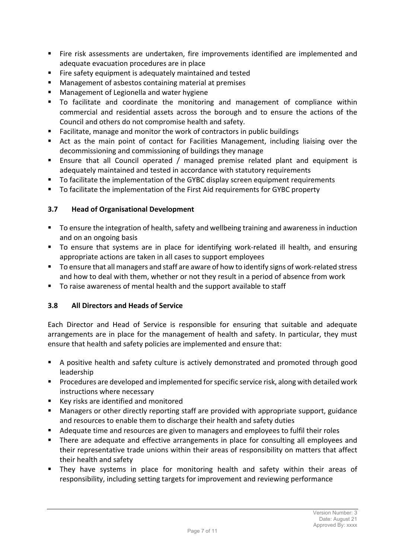- Fire risk assessments are undertaken, fire improvements identified are implemented and adequate evacuation procedures are in place
- Fire safety equipment is adequately maintained and tested
- **Management of asbestos containing material at premises**
- Management of Legionella and water hygiene
- To facilitate and coordinate the monitoring and management of compliance within commercial and residential assets across the borough and to ensure the actions of the Council and others do not compromise health and safety.
- Facilitate, manage and monitor the work of contractors in public buildings
- Act as the main point of contact for Facilities Management, including liaising over the decommissioning and commissioning of buildings they manage
- **Ensure that all Council operated / managed premise related plant and equipment is** adequately maintained and tested in accordance with statutory requirements
- To facilitate the implementation of the GYBC display screen equipment requirements
- To facilitate the implementation of the First Aid requirements for GYBC property

## **3.7 Head of Organisational Development**

- To ensure the integration of health, safety and wellbeing training and awareness in induction and on an ongoing basis
- To ensure that systems are in place for identifying work-related ill health, and ensuring appropriate actions are taken in all cases to support employees
- To ensure that all managers and staff are aware of how to identify signs of work-related stress and how to deal with them, whether or not they result in a period of absence from work
- To raise awareness of mental health and the support available to staff

## **3.8 All Directors and Heads of Service**

Each Director and Head of Service is responsible for ensuring that suitable and adequate arrangements are in place for the management of health and safety. In particular, they must ensure that health and safety policies are implemented and ensure that:

- A positive health and safety culture is actively demonstrated and promoted through good leadership
- Procedures are developed and implemented forspecific service risk, along with detailed work instructions where necessary
- Key risks are identified and monitored
- Managers or other directly reporting staff are provided with appropriate support, guidance and resources to enable them to discharge their health and safety duties
- Adequate time and resources are given to managers and employees to fulfil their roles
- There are adequate and effective arrangements in place for consulting all employees and their representative trade unions within their areas of responsibility on matters that affect their health and safety
- **They have systems in place for monitoring health and safety within their areas of** responsibility, including setting targets for improvement and reviewing performance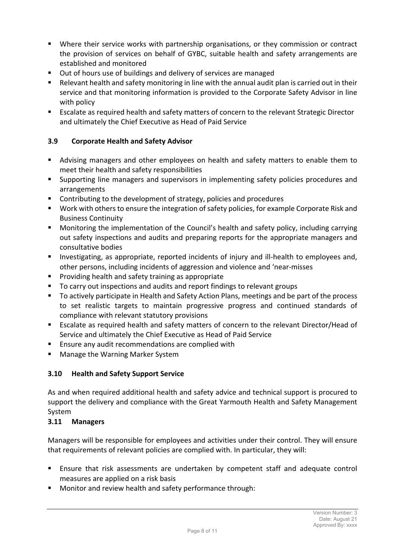- Where their service works with partnership organisations, or they commission or contract the provision of services on behalf of GYBC, suitable health and safety arrangements are established and monitored
- **Dut of hours use of buildings and delivery of services are managed**
- Relevant health and safety monitoring in line with the annual audit plan is carried out in their service and that monitoring information is provided to the Corporate Safety Advisor in line with policy
- **Exalate as required health and safety matters of concern to the relevant Strategic Director** and ultimately the Chief Executive as Head of Paid Service

## **3.9 Corporate Health and Safety Advisor**

- Advising managers and other employees on health and safety matters to enable them to meet their health and safety responsibilities
- Supporting line managers and supervisors in implementing safety policies procedures and arrangements
- Contributing to the development of strategy, policies and procedures
- **Work with others to ensure the integration of safety policies, for example Corporate Risk and** Business Continuity
- **Monitoring the implementation of the Council's health and safety policy, including carrying** out safety inspections and audits and preparing reports for the appropriate managers and consultative bodies
- Investigating, as appropriate, reported incidents of injury and ill-health to employees and, other persons, including incidents of aggression and violence and 'near‐misses
- **Providing health and safety training as appropriate**
- To carry out inspections and audits and report findings to relevant groups
- To actively participate in Health and Safety Action Plans, meetings and be part of the process to set realistic targets to maintain progressive progress and continued standards of compliance with relevant statutory provisions
- Escalate as required health and safety matters of concern to the relevant Director/Head of Service and ultimately the Chief Executive as Head of Paid Service
- **Ensure any audit recommendations are complied with**
- Manage the Warning Marker System

## **3.10 Health and Safety Support Service**

As and when required additional health and safety advice and technical support is procured to support the delivery and compliance with the Great Yarmouth Health and Safety Management System

## **3.11 Managers**

Managers will be responsible for employees and activities under their control. They will ensure that requirements of relevant policies are complied with. In particular, they will:

- Ensure that risk assessments are undertaken by competent staff and adequate control measures are applied on a risk basis
- **Monitor and review health and safety performance through:**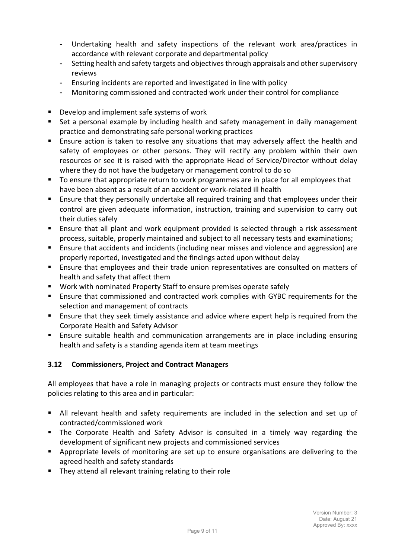- Undertaking health and safety inspections of the relevant work area/practices in accordance with relevant corporate and departmental policy
- Setting health and safety targets and objectivesthrough appraisals and other supervisory reviews
- Ensuring incidents are reported and investigated in line with policy
- Monitoring commissioned and contracted work under their control for compliance
- Develop and implement safe systems of work
- Set a personal example by including health and safety management in daily management practice and demonstrating safe personal working practices
- **Ensure action is taken to resolve any situations that may adversely affect the health and** safety of employees or other persons. They will rectify any problem within their own resources or see it is raised with the appropriate Head of Service/Director without delay where they do not have the budgetary or management control to do so
- To ensure that appropriate return to work programmes are in place for all employees that have been absent as a result of an accident or work‐related ill health
- **Ensure that they personally undertake all required training and that employees under their** control are given adequate information, instruction, training and supervision to carry out their duties safely
- Ensure that all plant and work equipment provided is selected through a risk assessment process, suitable, properly maintained and subject to all necessary tests and examinations;
- Ensure that accidents and incidents (including near misses and violence and aggression) are properly reported, investigated and the findings acted upon without delay
- Ensure that employees and their trade union representatives are consulted on matters of health and safety that affect them
- Work with nominated Property Staff to ensure premises operate safely
- Ensure that commissioned and contracted work complies with GYBC requirements for the selection and management of contracts
- Ensure that they seek timely assistance and advice where expert help is required from the Corporate Health and Safety Advisor
- **Ensure suitable health and communication arrangements are in place including ensuring** health and safety is a standing agenda item at team meetings

# **3.12 Commissioners, Project and Contract Managers**

All employees that have a role in managing projects or contracts must ensure they follow the policies relating to this area and in particular:

- All relevant health and safety requirements are included in the selection and set up of contracted/commissioned work
- **The Corporate Health and Safety Advisor is consulted in a timely way regarding the** development of significant new projects and commissioned services
- Appropriate levels of monitoring are set up to ensure organisations are delivering to the agreed health and safety standards
- They attend all relevant training relating to their role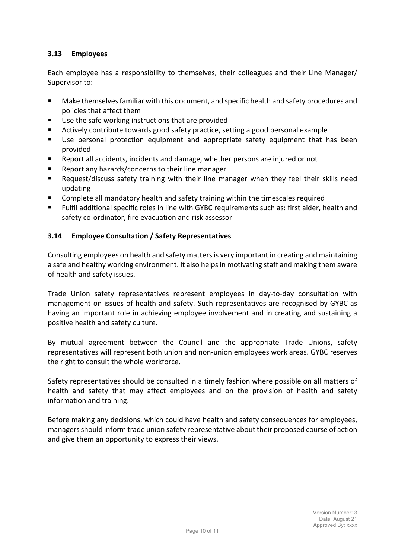## **3.13 Employees**

Each employee has a responsibility to themselves, their colleagues and their Line Manager/ Supervisor to:

- Make themselves familiar with this document, and specific health and safety procedures and policies that affect them
- Use the safe working instructions that are provided
- Actively contribute towards good safety practice, setting a good personal example
- Use personal protection equipment and appropriate safety equipment that has been provided
- Report all accidents, incidents and damage, whether persons are injured or not
- Report any hazards/concerns to their line manager
- Request/discuss safety training with their line manager when they feel their skills need updating
- Complete all mandatory health and safety training within the timescales required
- Fulfil additional specific roles in line with GYBC requirements such as: first aider, health and safety co-ordinator, fire evacuation and risk assessor

## **3.14 Employee Consultation / Safety Representatives**

Consulting employees on health and safety mattersis very important in creating and maintaining a safe and healthy working environment. It also helpsin motivating staff and making them aware of health and safety issues.

Trade Union safety representatives represent employees in day‐to‐day consultation with management on issues of health and safety. Such representatives are recognised by GYBC as having an important role in achieving employee involvement and in creating and sustaining a positive health and safety culture.

By mutual agreement between the Council and the appropriate Trade Unions, safety representatives will represent both union and non‐union employees work areas. GYBC reserves the right to consult the whole workforce.

Safety representatives should be consulted in a timely fashion where possible on all matters of health and safety that may affect employees and on the provision of health and safety information and training.

Before making any decisions, which could have health and safety consequences for employees, managers should inform trade union safety representative about their proposed course of action and give them an opportunity to express their views.